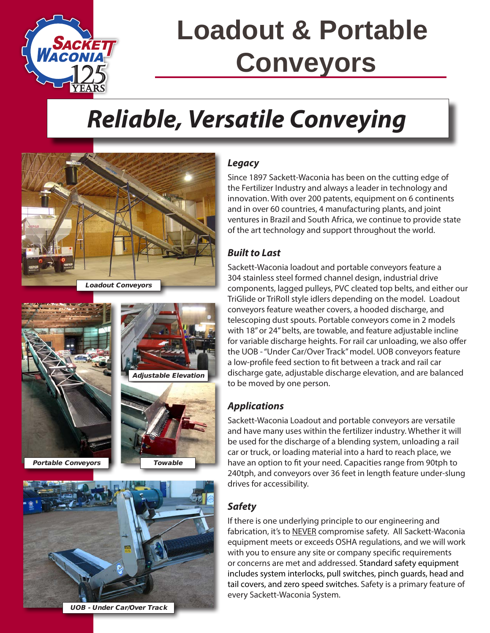

# **Loadout & Portable Conveyors**

## *Reliable, Versatile Conveying*



Portable Conveyors







UOB - Under Car/Over Track

### *Legacy*

Since 1897 Sackett-Waconia has been on the cutting edge of the Fertilizer Industry and always a leader in technology and innovation. With over 200 patents, equipment on 6 continents and in over 60 countries, 4 manufacturing plants, and joint ventures in Brazil and South Africa, we continue to provide state of the art technology and support throughout the world.

#### *Built to Last*

Sackett-Waconia loadout and portable conveyors feature a 304 stainless steel formed channel design, industrial drive components, lagged pulleys, PVC cleated top belts, and either our TriGlide or TriRoll style idlers depending on the model. Loadout conveyors feature weather covers, a hooded discharge, and telescoping dust spouts. Portable conveyors come in 2 models with 18" or 24" belts, are towable, and feature adjustable incline for variable discharge heights. For rail car unloading, we also offer the UOB - "Under Car/Over Track" model. UOB conveyors feature a low-profile feed section to fit between a track and rail car discharge gate, adjustable discharge elevation, and are balanced to be moved by one person.

### *Applications*

Sackett-Waconia Loadout and portable conveyors are versatile and have many uses within the fertilizer industry. Whether it will be used for the discharge of a blending system, unloading a rail car or truck, or loading material into a hard to reach place, we have an option to fit your need. Capacities range from 90tph to 240tph, and conveyors over 36 feet in length feature under-slung drives for accessibility.

### *Safety*

If there is one underlying principle to our engineering and fabrication, it's to NEVER compromise safety. All Sackett-Waconia equipment meets or exceeds OSHA regulations, and we will work with you to ensure any site or company specific requirements or concerns are met and addressed. Standard safety equipment includes system interlocks, pull switches, pinch guards, head and tail covers, and zero speed switches. Safety is a primary feature of every Sackett-Waconia System.